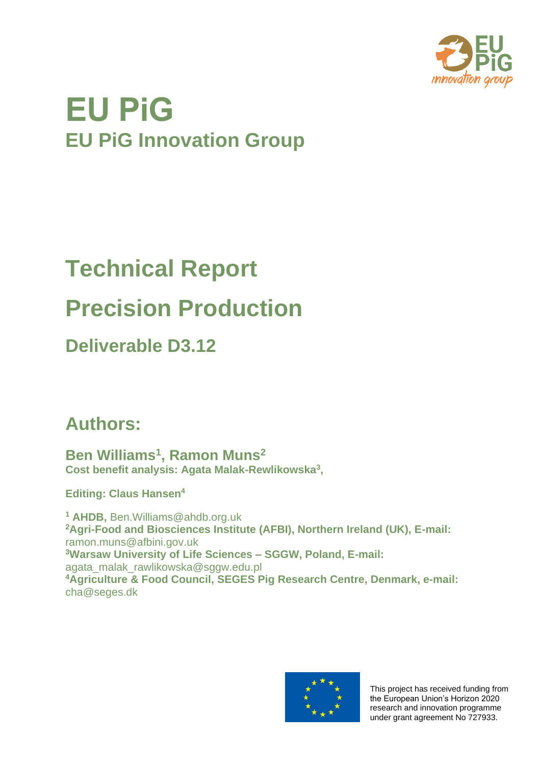

## **EU PiG EU PiG Innovation Group**

# **Technical Report Precision Production**

### **Deliverable D3.12**

## **Authors:**

**Ben Williams<sup>1</sup> , Ramon Muns<sup>2</sup> Cost benefit analysis: Agata Malak-Rewlikowska<sup>3</sup> ,** 

**Editing: Claus Hansen<sup>4</sup>**

**<sup>1</sup> AHDB,** [Ben.Williams@ahdb.org.uk](mailto:Ben.Williams@ahdb.org.uk) **<sup>2</sup>Agri-Food and Biosciences Institute (AFBI), Northern Ireland (UK), E-mail:**  [ramon.muns@afbini.gov.uk](mailto:ramon.muns@afbini.gov.uk) **<sup>3</sup>Warsaw University of Life Sciences – SGGW, Poland, E-mail:**  [agata\\_malak\\_rawlikowska@sggw.edu.pl](mailto:agata_malak_rawlikowska@sggw.edu.pl) **<sup>4</sup>Agriculture & Food Council, SEGES Pig Research Centre, Denmark, e-mail:**  [cha@seges.dk](mailto:cha@seges.dk)



This project has received funding from the European Union's Horizon 2020 research and innovation programme under grant agreement No 727933.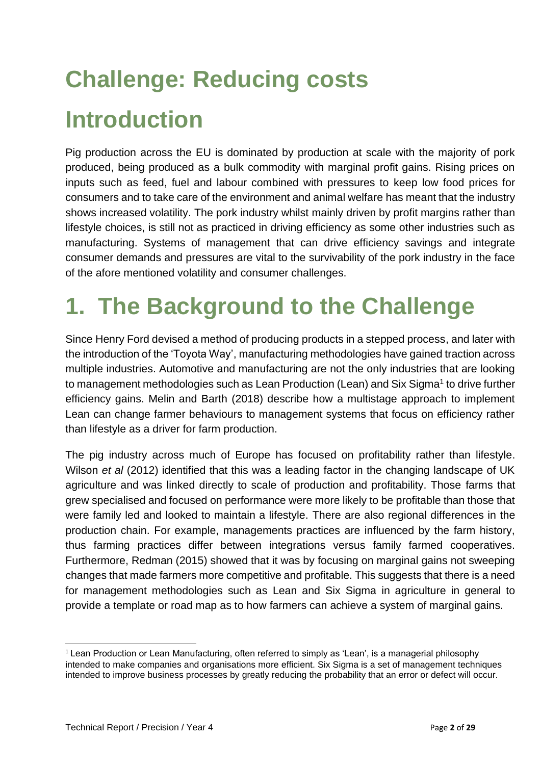# **Challenge: Reducing costs Introduction**

Pig production across the EU is dominated by production at scale with the majority of pork produced, being produced as a bulk commodity with marginal profit gains. Rising prices on inputs such as feed, fuel and labour combined with pressures to keep low food prices for consumers and to take care of the environment and animal welfare has meant that the industry shows increased volatility. The pork industry whilst mainly driven by profit margins rather than lifestyle choices, is still not as practiced in driving efficiency as some other industries such as manufacturing. Systems of management that can drive efficiency savings and integrate consumer demands and pressures are vital to the survivability of the pork industry in the face of the afore mentioned volatility and consumer challenges.

## **1. The Background to the Challenge**

Since Henry Ford devised a method of producing products in a stepped process, and later with the introduction of the 'Toyota Way', manufacturing methodologies have gained traction across multiple industries. Automotive and manufacturing are not the only industries that are looking to management methodologies such as Lean Production (Lean) and Six Sigma<sup>1</sup> to drive further efficiency gains. Melin and Barth (2018) describe how a multistage approach to implement Lean can change farmer behaviours to management systems that focus on efficiency rather than lifestyle as a driver for farm production.

The pig industry across much of Europe has focused on profitability rather than lifestyle. Wilson *et al* (2012) identified that this was a leading factor in the changing landscape of UK agriculture and was linked directly to scale of production and profitability. Those farms that grew specialised and focused on performance were more likely to be profitable than those that were family led and looked to maintain a lifestyle. There are also regional differences in the production chain. For example, managements practices are influenced by the farm history, thus farming practices differ between integrations versus family farmed cooperatives. Furthermore, Redman (2015) showed that it was by focusing on marginal gains not sweeping changes that made farmers more competitive and profitable. This suggests that there is a need for management methodologies such as Lean and Six Sigma in agriculture in general to provide a template or road map as to how farmers can achieve a system of marginal gains.

 $1$  Lean Production or Lean Manufacturing, often referred to simply as 'Lean', is a managerial philosophy intended to make companies and organisations more efficient. Six Sigma is a set of management techniques intended to improve business processes by greatly reducing the probability that an error or defect will occur.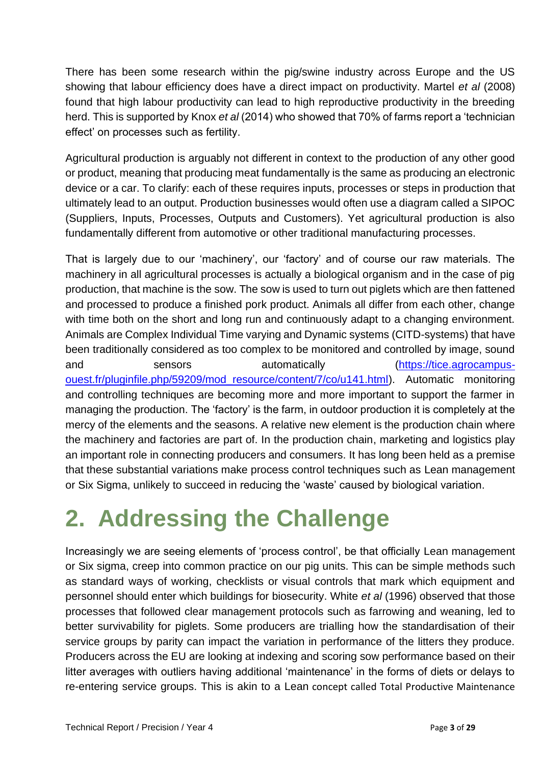There has been some research within the pig/swine industry across Europe and the US showing that labour efficiency does have a direct impact on productivity. Martel *et al* (2008) found that high labour productivity can lead to high reproductive productivity in the breeding herd. This is supported by Knox *et al* (2014) who showed that 70% of farms report a 'technician effect' on processes such as fertility.

Agricultural production is arguably not different in context to the production of any other good or product, meaning that producing meat fundamentally is the same as producing an electronic device or a car. To clarify: each of these requires inputs, processes or steps in production that ultimately lead to an output. Production businesses would often use a diagram called a SIPOC (Suppliers, Inputs, Processes, Outputs and Customers). Yet agricultural production is also fundamentally different from automotive or other traditional manufacturing processes.

That is largely due to our 'machinery', our 'factory' and of course our raw materials. The machinery in all agricultural processes is actually a biological organism and in the case of pig production, that machine is the sow. The sow is used to turn out piglets which are then fattened and processed to produce a finished pork product. Animals all differ from each other, change with time both on the short and long run and continuously adapt to a changing environment. Animals are Complex Individual Time varying and Dynamic systems (CITD-systems) that have been traditionally considered as too complex to be monitored and controlled by image, sound and sensors automatically [\(https://tice.agrocampus](https://tice.agrocampus-ouest.fr/pluginfile.php/59209/mod_resource/content/7/co/u141.html)[ouest.fr/pluginfile.php/59209/mod\\_resource/content/7/co/u141.html\)](https://tice.agrocampus-ouest.fr/pluginfile.php/59209/mod_resource/content/7/co/u141.html). Automatic monitoring and controlling techniques are becoming more and more important to support the farmer in managing the production. The 'factory' is the farm, in outdoor production it is completely at the mercy of the elements and the seasons. A relative new element is the production chain where the machinery and factories are part of. In the production chain, marketing and logistics play an important role in connecting producers and consumers. It has long been held as a premise that these substantial variations make process control techniques such as Lean management or Six Sigma, unlikely to succeed in reducing the 'waste' caused by biological variation.

## **2. Addressing the Challenge**

Increasingly we are seeing elements of 'process control', be that officially Lean management or Six sigma, creep into common practice on our pig units. This can be simple methods such as standard ways of working, checklists or visual controls that mark which equipment and personnel should enter which buildings for biosecurity. White *et al* (1996) observed that those processes that followed clear management protocols such as farrowing and weaning, led to better survivability for piglets. Some producers are trialling how the standardisation of their service groups by parity can impact the variation in performance of the litters they produce. Producers across the EU are looking at indexing and scoring sow performance based on their litter averages with outliers having additional 'maintenance' in the forms of diets or delays to re-entering service groups. This is akin to a Lean concept called Total Productive Maintenance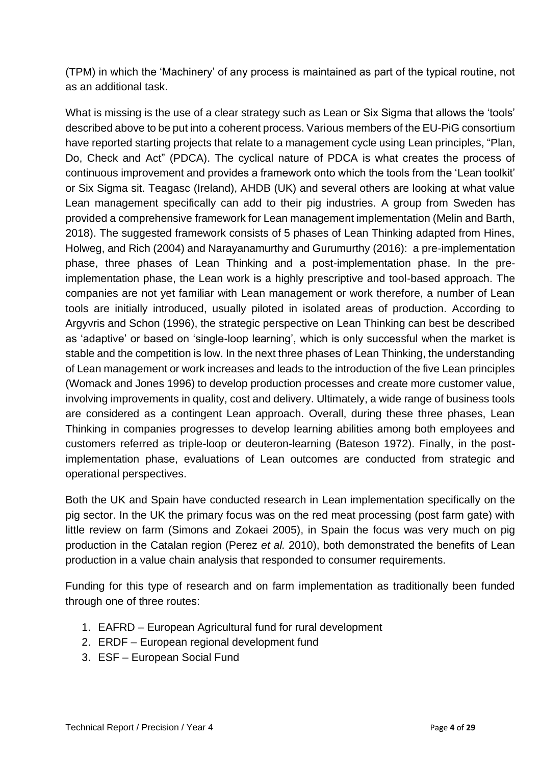(TPM) in which the 'Machinery' of any process is maintained as part of the typical routine, not as an additional task.

What is missing is the use of a clear strategy such as Lean or Six Sigma that allows the 'tools' described above to be put into a coherent process. Various members of the EU-PiG consortium have reported starting projects that relate to a management cycle using Lean principles, "Plan, Do, Check and Act" (PDCA). The cyclical nature of PDCA is what creates the process of continuous improvement and provides a framework onto which the tools from the 'Lean toolkit' or Six Sigma sit. Teagasc (Ireland), AHDB (UK) and several others are looking at what value Lean management specifically can add to their pig industries. A group from Sweden has provided a comprehensive framework for Lean management implementation (Melin and Barth, 2018). The suggested framework consists of 5 phases of Lean Thinking adapted from Hines, Holweg, and Rich (2004) and Narayanamurthy and Gurumurthy (2016): a pre-implementation phase, three phases of Lean Thinking and a post-implementation phase. In the preimplementation phase, the Lean work is a highly prescriptive and tool-based approach. The companies are not yet familiar with Lean management or work therefore, a number of Lean tools are initially introduced, usually piloted in isolated areas of production. According to Argyvris and Schon (1996), the strategic perspective on Lean Thinking can best be described as 'adaptive' or based on 'single-loop learning', which is only successful when the market is stable and the competition is low. In the next three phases of Lean Thinking, the understanding of Lean management or work increases and leads to the introduction of the five Lean principles (Womack and Jones 1996) to develop production processes and create more customer value, involving improvements in quality, cost and delivery. Ultimately, a wide range of business tools are considered as a contingent Lean approach. Overall, during these three phases, Lean Thinking in companies progresses to develop learning abilities among both employees and customers referred as triple-loop or deuteron-learning (Bateson 1972). Finally, in the postimplementation phase, evaluations of Lean outcomes are conducted from strategic and operational perspectives.

Both the UK and Spain have conducted research in Lean implementation specifically on the pig sector. In the UK the primary focus was on the red meat processing (post farm gate) with little review on farm (Simons and Zokaei 2005), in Spain the focus was very much on pig production in the Catalan region (Perez *et al.* 2010), both demonstrated the benefits of Lean production in a value chain analysis that responded to consumer requirements.

Funding for this type of research and on farm implementation as traditionally been funded through one of three routes:

- 1. EAFRD European Agricultural fund for rural development
- 2. ERDF European regional development fund
- 3. ESF European Social Fund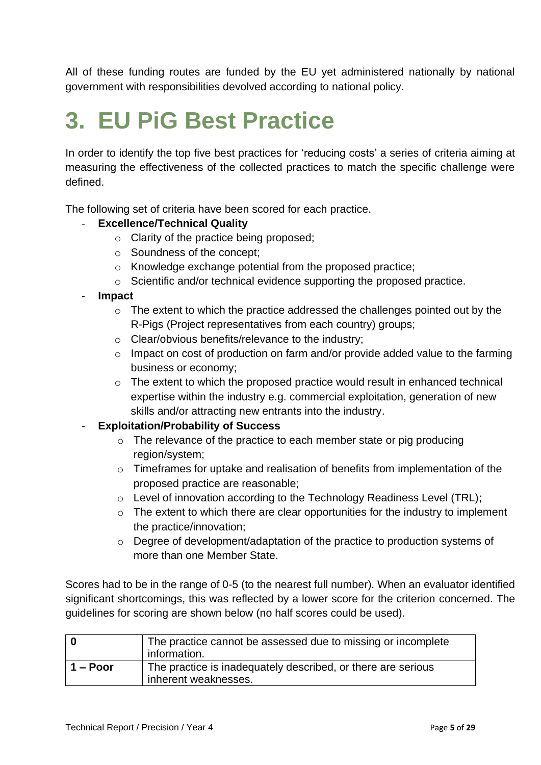All of these funding routes are funded by the EU yet administered nationally by national government with responsibilities devolved according to national policy.

## **3. EU PiG Best Practice**

In order to identify the top five best practices for 'reducing costs' a series of criteria aiming at measuring the effectiveness of the collected practices to match the specific challenge were defined.

The following set of criteria have been scored for each practice.

#### **Excellence/Technical Quality**

- o Clarity of the practice being proposed;
- o Soundness of the concept;
- o Knowledge exchange potential from the proposed practice;
- o Scientific and/or technical evidence supporting the proposed practice.

#### - **Impact**

- o The extent to which the practice addressed the challenges pointed out by the R-Pigs (Project representatives from each country) groups;
- o Clear/obvious benefits/relevance to the industry;
- o Impact on cost of production on farm and/or provide added value to the farming business or economy;
- o The extent to which the proposed practice would result in enhanced technical expertise within the industry e.g. commercial exploitation, generation of new skills and/or attracting new entrants into the industry.

### - **Exploitation/Probability of Success**

- $\circ$  The relevance of the practice to each member state or pig producing region/system;
- o Timeframes for uptake and realisation of benefits from implementation of the proposed practice are reasonable;
- o Level of innovation according to the Technology Readiness Level (TRL);
- $\circ$  The extent to which there are clear opportunities for the industry to implement the practice/innovation;
- o Degree of development/adaptation of the practice to production systems of more than one Member State.

Scores had to be in the range of 0-5 (to the nearest full number). When an evaluator identified significant shortcomings, this was reflected by a lower score for the criterion concerned. The guidelines for scoring are shown below (no half scores could be used).

|            | The practice cannot be assessed due to missing or incomplete<br>information.         |
|------------|--------------------------------------------------------------------------------------|
| $1 -$ Poor | The practice is inadequately described, or there are serious<br>inherent weaknesses. |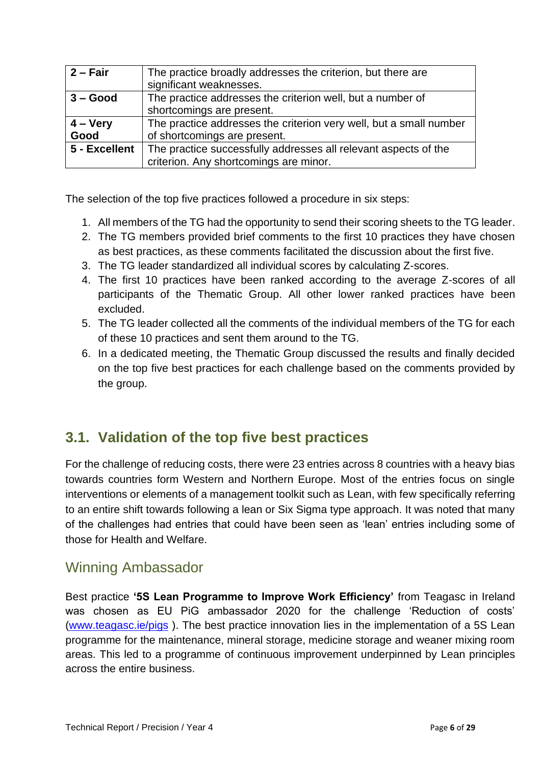| $2 - Fair$    | The practice broadly addresses the criterion, but there are        |
|---------------|--------------------------------------------------------------------|
|               | significant weaknesses.                                            |
| $3 - Good$    | The practice addresses the criterion well, but a number of         |
|               | shortcomings are present.                                          |
| $4 - V$ ery   | The practice addresses the criterion very well, but a small number |
| Good          | of shortcomings are present.                                       |
| 5 - Excellent | The practice successfully addresses all relevant aspects of the    |
|               | criterion. Any shortcomings are minor.                             |

The selection of the top five practices followed a procedure in six steps:

- 1. All members of the TG had the opportunity to send their scoring sheets to the TG leader.
- 2. The TG members provided brief comments to the first 10 practices they have chosen as best practices, as these comments facilitated the discussion about the first five.
- 3. The TG leader standardized all individual scores by calculating Z-scores.
- 4. The first 10 practices have been ranked according to the average Z-scores of all participants of the Thematic Group. All other lower ranked practices have been excluded.
- 5. The TG leader collected all the comments of the individual members of the TG for each of these 10 practices and sent them around to the TG.
- 6. In a dedicated meeting, the Thematic Group discussed the results and finally decided on the top five best practices for each challenge based on the comments provided by the group.

### **3.1. Validation of the top five best practices**

For the challenge of reducing costs, there were 23 entries across 8 countries with a heavy bias towards countries form Western and Northern Europe. Most of the entries focus on single interventions or elements of a management toolkit such as Lean, with few specifically referring to an entire shift towards following a lean or Six Sigma type approach. It was noted that many of the challenges had entries that could have been seen as 'lean' entries including some of those for Health and Welfare.

### Winning Ambassador

Best practice **'5S Lean Programme to Improve Work Efficiency'** from Teagasc in Ireland was chosen as EU PiG ambassador 2020 for the challenge 'Reduction of costs' [\(www.teagasc.ie/pigs](http://www.teagasc.ie/pigs) ). The best practice innovation lies in the implementation of a 5S Lean programme for the maintenance, mineral storage, medicine storage and weaner mixing room areas. This led to a programme of continuous improvement underpinned by Lean principles across the entire business.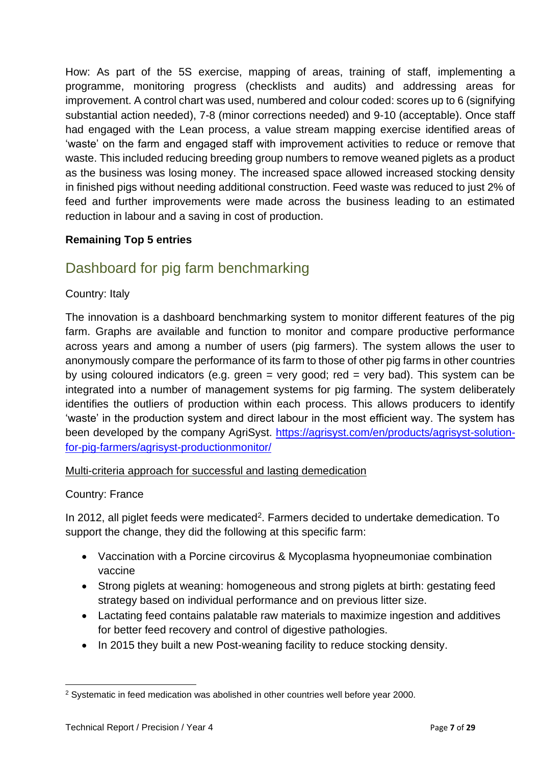How: As part of the 5S exercise, mapping of areas, training of staff, implementing a programme, monitoring progress (checklists and audits) and addressing areas for improvement. A control chart was used, numbered and colour coded: scores up to 6 (signifying substantial action needed), 7-8 (minor corrections needed) and 9-10 (acceptable). Once staff had engaged with the Lean process, a value stream mapping exercise identified areas of 'waste' on the farm and engaged staff with improvement activities to reduce or remove that waste. This included reducing breeding group numbers to remove weaned piglets as a product as the business was losing money. The increased space allowed increased stocking density in finished pigs without needing additional construction. Feed waste was reduced to just 2% of feed and further improvements were made across the business leading to an estimated reduction in labour and a saving in cost of production.

### **Remaining Top 5 entries**

### Dashboard for pig farm benchmarking

#### Country: Italy

The innovation is a dashboard benchmarking system to monitor different features of the pig farm. Graphs are available and function to monitor and compare productive performance across years and among a number of users (pig farmers). The system allows the user to anonymously compare the performance of its farm to those of other pig farms in other countries by using coloured indicators (e.g. green  $=$  very good; red  $=$  very bad). This system can be integrated into a number of management systems for pig farming. The system deliberately identifies the outliers of production within each process. This allows producers to identify 'waste' in the production system and direct labour in the most efficient way. The system has been developed by the company AgriSyst. [https://agrisyst.com/en/products/agrisyst-solution](https://agrisyst.com/en/products/agrisyst-solution-for-pig-farmers/agrisyst-productionmonitor/)[for-pig-farmers/agrisyst-productionmonitor/](https://agrisyst.com/en/products/agrisyst-solution-for-pig-farmers/agrisyst-productionmonitor/)

#### Multi-criteria approach for successful and lasting demedication

#### Country: France

In 2012, all piglet feeds were medicated<sup>2</sup>. Farmers decided to undertake demedication. To support the change, they did the following at this specific farm:

- Vaccination with a Porcine circovirus & Mycoplasma hyopneumoniae combination vaccine
- Strong piglets at weaning: homogeneous and strong piglets at birth: gestating feed strategy based on individual performance and on previous litter size.
- Lactating feed contains palatable raw materials to maximize ingestion and additives for better feed recovery and control of digestive pathologies.
- In 2015 they built a new Post-weaning facility to reduce stocking density.

<sup>2</sup> Systematic in feed medication was abolished in other countries well before year 2000.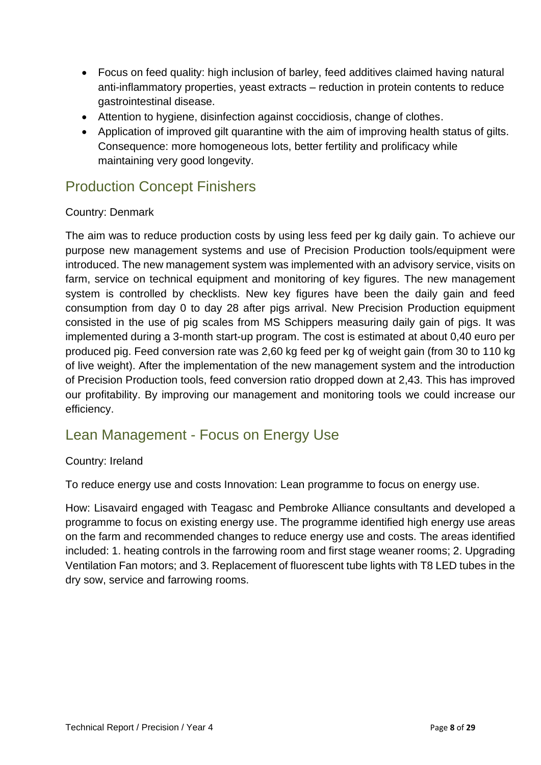- Focus on feed quality: high inclusion of barley, feed additives claimed having natural anti-inflammatory properties, yeast extracts – reduction in protein contents to reduce gastrointestinal disease.
- Attention to hygiene, disinfection against coccidiosis, change of clothes.
- Application of improved gilt quarantine with the aim of improving health status of gilts. Consequence: more homogeneous lots, better fertility and prolificacy while maintaining very good longevity.

### Production Concept Finishers

### Country: Denmark

The aim was to reduce production costs by using less feed per kg daily gain. To achieve our purpose new management systems and use of Precision Production tools/equipment were introduced. The new management system was implemented with an advisory service, visits on farm, service on technical equipment and monitoring of key figures. The new management system is controlled by checklists. New key figures have been the daily gain and feed consumption from day 0 to day 28 after pigs arrival. New Precision Production equipment consisted in the use of pig scales from MS Schippers measuring daily gain of pigs. It was implemented during a 3-month start-up program. The cost is estimated at about 0,40 euro per produced pig. Feed conversion rate was 2,60 kg feed per kg of weight gain (from 30 to 110 kg of live weight). After the implementation of the new management system and the introduction of Precision Production tools, feed conversion ratio dropped down at 2,43. This has improved our profitability. By improving our management and monitoring tools we could increase our efficiency.

### Lean Management - Focus on Energy Use

### Country: Ireland

To reduce energy use and costs Innovation: Lean programme to focus on energy use.

How: Lisavaird engaged with Teagasc and Pembroke Alliance consultants and developed a programme to focus on existing energy use. The programme identified high energy use areas on the farm and recommended changes to reduce energy use and costs. The areas identified included: 1. heating controls in the farrowing room and first stage weaner rooms; 2. Upgrading Ventilation Fan motors; and 3. Replacement of fluorescent tube lights with T8 LED tubes in the dry sow, service and farrowing rooms.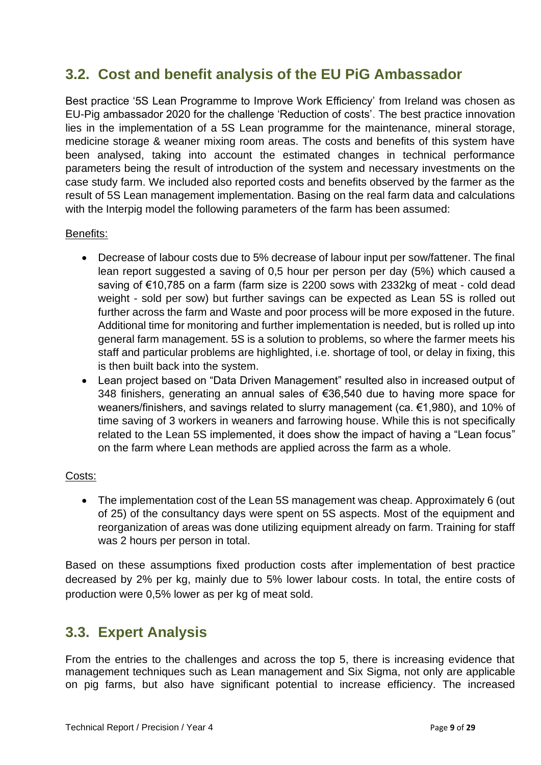### **3.2. Cost and benefit analysis of the EU PiG Ambassador**

Best practice '5S Lean Programme to Improve Work Efficiency' from Ireland was chosen as EU-Pig ambassador 2020 for the challenge 'Reduction of costs'. The best practice innovation lies in the implementation of a 5S Lean programme for the maintenance, mineral storage, medicine storage & weaner mixing room areas. The costs and benefits of this system have been analysed, taking into account the estimated changes in technical performance parameters being the result of introduction of the system and necessary investments on the case study farm. We included also reported costs and benefits observed by the farmer as the result of 5S Lean management implementation. Basing on the real farm data and calculations with the Interpig model the following parameters of the farm has been assumed:

#### Benefits:

- Decrease of labour costs due to 5% decrease of labour input per sow/fattener. The final lean report suggested a saving of 0,5 hour per person per day (5%) which caused a saving of €10,785 on a farm (farm size is 2200 sows with 2332kg of meat - cold dead weight - sold per sow) but further savings can be expected as Lean 5S is rolled out further across the farm and Waste and poor process will be more exposed in the future. Additional time for monitoring and further implementation is needed, but is rolled up into general farm management. 5S is a solution to problems, so where the farmer meets his staff and particular problems are highlighted, i.e. shortage of tool, or delay in fixing, this is then built back into the system.
- Lean project based on "Data Driven Management" resulted also in increased output of 348 finishers, generating an annual sales of €36,540 due to having more space for weaners/finishers, and savings related to slurry management (ca. €1,980), and 10% of time saving of 3 workers in weaners and farrowing house. While this is not specifically related to the Lean 5S implemented, it does show the impact of having a "Lean focus" on the farm where Lean methods are applied across the farm as a whole.

### Costs:

• The implementation cost of the Lean 5S management was cheap. Approximately 6 (out of 25) of the consultancy days were spent on 5S aspects. Most of the equipment and reorganization of areas was done utilizing equipment already on farm. Training for staff was 2 hours per person in total.

Based on these assumptions fixed production costs after implementation of best practice decreased by 2% per kg, mainly due to 5% lower labour costs. In total, the entire costs of production were 0,5% lower as per kg of meat sold.

### **3.3. Expert Analysis**

From the entries to the challenges and across the top 5, there is increasing evidence that management techniques such as Lean management and Six Sigma, not only are applicable on pig farms, but also have significant potential to increase efficiency. The increased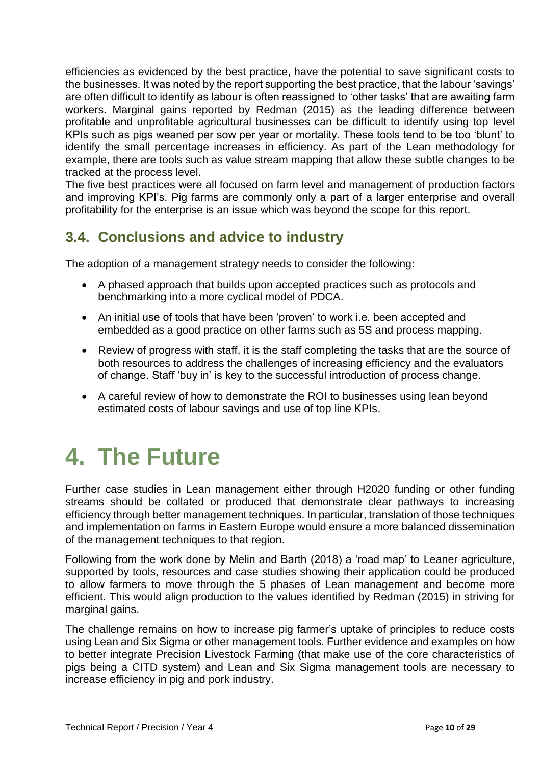efficiencies as evidenced by the best practice, have the potential to save significant costs to the businesses. It was noted by the report supporting the best practice, that the labour 'savings' are often difficult to identify as labour is often reassigned to 'other tasks' that are awaiting farm workers. Marginal gains reported by Redman (2015) as the leading difference between profitable and unprofitable agricultural businesses can be difficult to identify using top level KPIs such as pigs weaned per sow per year or mortality. These tools tend to be too 'blunt' to identify the small percentage increases in efficiency. As part of the Lean methodology for example, there are tools such as value stream mapping that allow these subtle changes to be tracked at the process level.

The five best practices were all focused on farm level and management of production factors and improving KPI's. Pig farms are commonly only a part of a larger enterprise and overall profitability for the enterprise is an issue which was beyond the scope for this report.

### **3.4. Conclusions and advice to industry**

The adoption of a management strategy needs to consider the following:

- A phased approach that builds upon accepted practices such as protocols and benchmarking into a more cyclical model of PDCA.
- An initial use of tools that have been 'proven' to work i.e. been accepted and embedded as a good practice on other farms such as 5S and process mapping.
- Review of progress with staff, it is the staff completing the tasks that are the source of both resources to address the challenges of increasing efficiency and the evaluators of change. Staff 'buy in' is key to the successful introduction of process change.
- A careful review of how to demonstrate the ROI to businesses using lean beyond estimated costs of labour savings and use of top line KPIs.

## **4. The Future**

Further case studies in Lean management either through H2020 funding or other funding streams should be collated or produced that demonstrate clear pathways to increasing efficiency through better management techniques. In particular, translation of those techniques and implementation on farms in Eastern Europe would ensure a more balanced dissemination of the management techniques to that region.

Following from the work done by Melin and Barth (2018) a 'road map' to Leaner agriculture, supported by tools, resources and case studies showing their application could be produced to allow farmers to move through the 5 phases of Lean management and become more efficient. This would align production to the values identified by Redman (2015) in striving for marginal gains.

The challenge remains on how to increase pig farmer's uptake of principles to reduce costs using Lean and Six Sigma or other management tools. Further evidence and examples on how to better integrate Precision Livestock Farming (that make use of the core characteristics of pigs being a CITD system) and Lean and Six Sigma management tools are necessary to increase efficiency in pig and pork industry.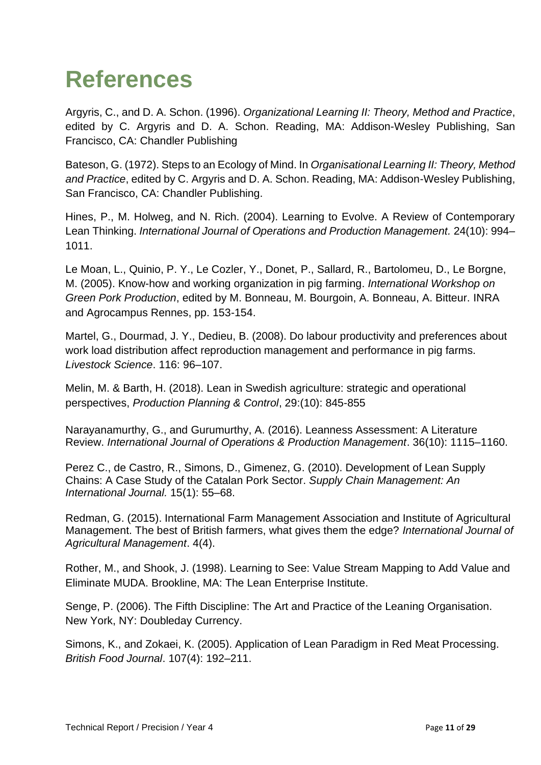## **References**

Argyris, C., and D. A. Schon. (1996). *Organizational Learning II: Theory, Method and Practice*, edited by C. Argyris and D. A. Schon. Reading, MA: Addison-Wesley Publishing, San Francisco, CA: Chandler Publishing

Bateson, G. (1972). Steps to an Ecology of Mind. In *Organisational Learning II: Theory, Method and Practice*, edited by C. Argyris and D. A. Schon. Reading, MA: Addison-Wesley Publishing, San Francisco, CA: Chandler Publishing.

Hines, P., M. Holweg, and N. Rich. (2004). Learning to Evolve. A Review of Contemporary Lean Thinking. *International Journal of Operations and Production Management.* 24(10): 994– 1011.

Le Moan, L., Quinio, P. Y., Le Cozler, Y., Donet, P., Sallard, R., Bartolomeu, D., Le Borgne, M. (2005). Know-how and working organization in pig farming. *International Workshop on Green Pork Production*, edited by M. Bonneau, M. Bourgoin, A. Bonneau, A. Bitteur. INRA and Agrocampus Rennes, pp. 153-154.

Martel, G., Dourmad, J. Y., Dedieu, B. (2008). Do labour productivity and preferences about work load distribution affect reproduction management and performance in pig farms. *Livestock Science*. 116: 96–107.

Melin, M. & Barth, H. (2018). Lean in Swedish agriculture: strategic and operational perspectives, *Production Planning & Control*, 29:(10): 845-855

Narayanamurthy, G., and Gurumurthy, A. (2016). Leanness Assessment: A Literature Review. *International Journal of Operations & Production Management*. 36(10): 1115–1160.

Perez C., de Castro, R., Simons, D., Gimenez, G. (2010). Development of Lean Supply Chains: A Case Study of the Catalan Pork Sector. *Supply Chain Management: An International Journal.* 15(1): 55–68.

Redman, G. (2015). International Farm Management Association and Institute of Agricultural Management. The best of British farmers, what gives them the edge? *International Journal of Agricultural Management*. 4(4).

Rother, M., and Shook, J. (1998). Learning to See: Value Stream Mapping to Add Value and Eliminate MUDA. Brookline, MA: The Lean Enterprise Institute.

Senge, P. (2006). The Fifth Discipline: The Art and Practice of the Leaning Organisation. New York, NY: Doubleday Currency.

Simons, K., and Zokaei, K. (2005). Application of Lean Paradigm in Red Meat Processing. *British Food Journal*. 107(4): 192–211.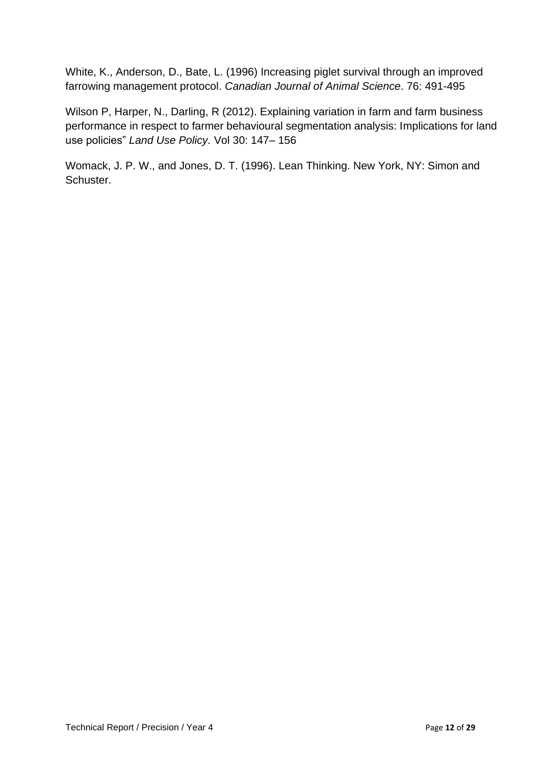White, K., Anderson, D., Bate, L. (1996) Increasing piglet survival through an improved farrowing management protocol. *Canadian Journal of Animal Science*. 76: 491-495

Wilson P, Harper, N., Darling, R (2012). Explaining variation in farm and farm business performance in respect to farmer behavioural segmentation analysis: Implications for land use policies" *Land Use Policy.* Vol 30: 147– 156

Womack, J. P. W., and Jones, D. T. (1996). Lean Thinking. New York, NY: Simon and Schuster.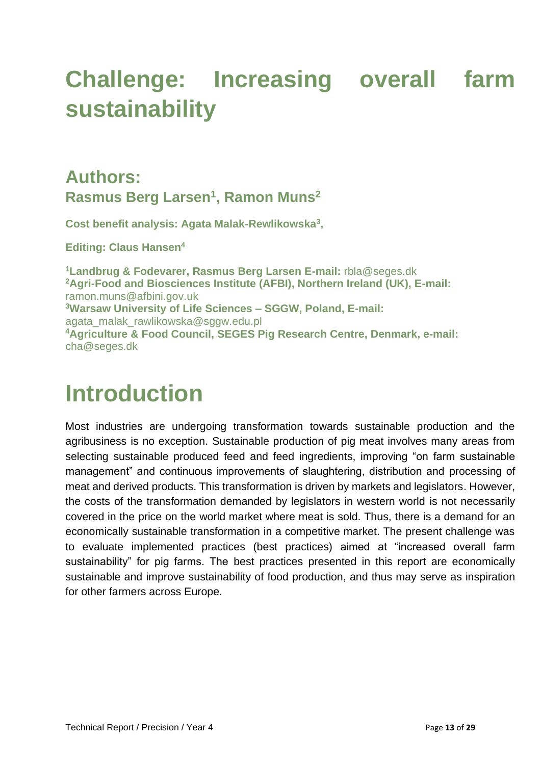## **Challenge: Increasing overall farm sustainability**

### **Authors: Rasmus Berg Larsen<sup>1</sup> , Ramon Muns<sup>2</sup>**

**Cost benefit analysis: Agata Malak-Rewlikowska<sup>3</sup> ,** 

**Editing: Claus Hansen<sup>4</sup>**

**<sup>1</sup>Landbrug & Fodevarer, Rasmus Berg Larsen E-mail:** [rbla@seges.dk](mailto:rbla@seges.dk) **<sup>2</sup>Agri-Food and Biosciences Institute (AFBI), Northern Ireland (UK), E-mail:**  [ramon.muns@afbini.gov.uk](mailto:ramon.muns@afbini.gov.uk) **<sup>3</sup>Warsaw University of Life Sciences – SGGW, Poland, E-mail:**  [agata\\_malak\\_rawlikowska@sggw.edu.pl](mailto:agata_malak_rawlikowska@sggw.edu.pl) **<sup>4</sup>Agriculture & Food Council, SEGES Pig Research Centre, Denmark, e-mail:**  [cha@seges.dk](mailto:cha@seges.dk)

## **Introduction**

Most industries are undergoing transformation towards sustainable production and the agribusiness is no exception. Sustainable production of pig meat involves many areas from selecting sustainable produced feed and feed ingredients, improving "on farm sustainable management" and continuous improvements of slaughtering, distribution and processing of meat and derived products. This transformation is driven by markets and legislators. However, the costs of the transformation demanded by legislators in western world is not necessarily covered in the price on the world market where meat is sold. Thus, there is a demand for an economically sustainable transformation in a competitive market. The present challenge was to evaluate implemented practices (best practices) aimed at "increased overall farm sustainability" for pig farms. The best practices presented in this report are economically sustainable and improve sustainability of food production, and thus may serve as inspiration for other farmers across Europe.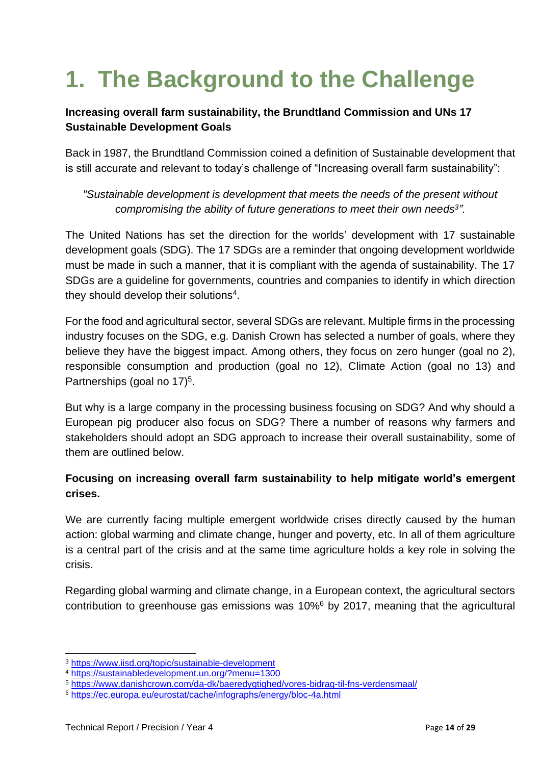## **1. The Background to the Challenge**

### **Increasing overall farm sustainability, the Brundtland Commission and UNs 17 Sustainable Development Goals**

Back in 1987, the Brundtland Commission coined a definition of Sustainable development that is still accurate and relevant to today's challenge of "Increasing overall farm sustainability":

*"Sustainable development is development that meets the needs of the present without compromising the ability of future generations to meet their own needs<sup>3</sup> ".*

The United Nations has set the direction for the worlds' development with 17 sustainable development goals (SDG). The 17 SDGs are a reminder that ongoing development worldwide must be made in such a manner, that it is compliant with the agenda of sustainability. The 17 SDGs are a guideline for governments, countries and companies to identify in which direction they should develop their solutions<sup>4</sup>.

For the food and agricultural sector, several SDGs are relevant. Multiple firms in the processing industry focuses on the SDG, e.g. Danish Crown has selected a number of goals, where they believe they have the biggest impact. Among others, they focus on zero hunger (goal no 2), responsible consumption and production (goal no 12), Climate Action (goal no 13) and Partnerships (goal no 17)<sup>5</sup>.

But why is a large company in the processing business focusing on SDG? And why should a European pig producer also focus on SDG? There a number of reasons why farmers and stakeholders should adopt an SDG approach to increase their overall sustainability, some of them are outlined below.

### **Focusing on increasing overall farm sustainability to help mitigate world's emergent crises.**

We are currently facing multiple emergent worldwide crises directly caused by the human action: global warming and climate change, hunger and poverty, etc. In all of them agriculture is a central part of the crisis and at the same time agriculture holds a key role in solving the crisis.

Regarding global warming and climate change, in a European context, the agricultural sectors contribution to greenhouse gas emissions was 10%<sup>6</sup> by 2017, meaning that the agricultural

<sup>3</sup> <https://www.iisd.org/topic/sustainable-development>

<sup>4</sup> <https://sustainabledevelopment.un.org/?menu=1300>

<sup>5</sup> <https://www.danishcrown.com/da-dk/baeredygtighed/vores-bidrag-til-fns-verdensmaal/>

<sup>6</sup> <https://ec.europa.eu/eurostat/cache/infographs/energy/bloc-4a.html>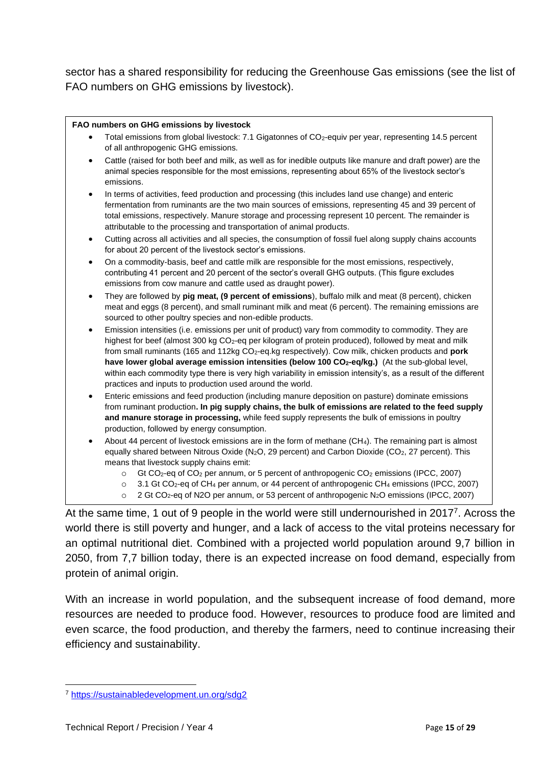sector has a shared responsibility for reducing the Greenhouse Gas emissions (see the list of FAO numbers on GHG emissions by livestock).

#### **FAO numbers on GHG emissions by livestock**

- Total emissions from global livestock: 7.1 Gigatonnes of CO<sub>2</sub>-equiv per year, representing 14.5 percent of all anthropogenic GHG emissions.
- Cattle (raised for both beef and milk, as well as for inedible outputs like manure and draft power) are the animal species responsible for the most emissions, representing about 65% of the livestock sector's emissions.
- In terms of activities, feed production and processing (this includes land use change) and enteric fermentation from ruminants are the two main sources of emissions, representing 45 and 39 percent of total emissions, respectively. Manure storage and processing represent 10 percent. The remainder is attributable to the processing and transportation of animal products.
- Cutting across all activities and all species, the consumption of fossil fuel along supply chains accounts for about 20 percent of the livestock sector's emissions.
- On a commodity-basis, beef and cattle milk are responsible for the most emissions, respectively, contributing 41 percent and 20 percent of the sector's overall GHG outputs. (This figure excludes emissions from cow manure and cattle used as draught power).
- They are followed by **pig meat, (9 percent of emissions**), buffalo milk and meat (8 percent), chicken meat and eggs (8 percent), and small ruminant milk and meat (6 percent). The remaining emissions are sourced to other poultry species and non-edible products.
- Emission intensities (i.e. emissions per unit of product) vary from commodity to commodity. They are highest for beef (almost 300 kg CO<sub>2</sub>-eq per kilogram of protein produced), followed by meat and milk from small ruminants (165 and 112kg CO2-eq.kg respectively). Cow milk, chicken products and **pork have lower global average emission intensities (below 100 CO2-eq/kg.)** (At the sub-global level, within each commodity type there is very high variability in emission intensity's, as a result of the different practices and inputs to production used around the world.
- Enteric emissions and feed production (including manure deposition on pasture) dominate emissions from ruminant production**. In pig supply chains, the bulk of emissions are related to the feed supply and manure storage in processing,** while feed supply represents the bulk of emissions in poultry production, followed by energy consumption.
- About 44 percent of livestock emissions are in the form of methane (CH4). The remaining part is almost equally shared between Nitrous Oxide (N<sub>2</sub>O, 29 percent) and Carbon Dioxide (CO<sub>2</sub>, 27 percent). This means that livestock supply chains emit:
	- $\circ$  Gt CO<sub>2</sub>-eq of CO<sub>2</sub> per annum, or 5 percent of anthropogenic CO<sub>2</sub> emissions (IPCC, 2007)
	- $\circ$  3.1 Gt CO<sub>2</sub>-eq of CH<sub>4</sub> per annum, or 44 percent of anthropogenic CH<sub>4</sub> emissions (IPCC, 2007)
	- $\degree$  2 Gt CO<sub>2</sub>-eq of N2O per annum, or 53 percent of anthropogenic N<sub>2</sub>O emissions (IPCC, 2007)

At the same time, 1 out of 9 people in the world were still undernourished in 2017<sup>7</sup>. Across the world there is still poverty and hunger, and a lack of access to the vital proteins necessary for an optimal nutritional diet. Combined with a projected world population around 9,7 billion in 2050, from 7,7 billion today, there is an expected increase on food demand, especially from protein of animal origin.

With an increase in world population, and the subsequent increase of food demand, more resources are needed to produce food. However, resources to produce food are limited and even scarce, the food production, and thereby the farmers, need to continue increasing their efficiency and sustainability.

<sup>7</sup> <https://sustainabledevelopment.un.org/sdg2>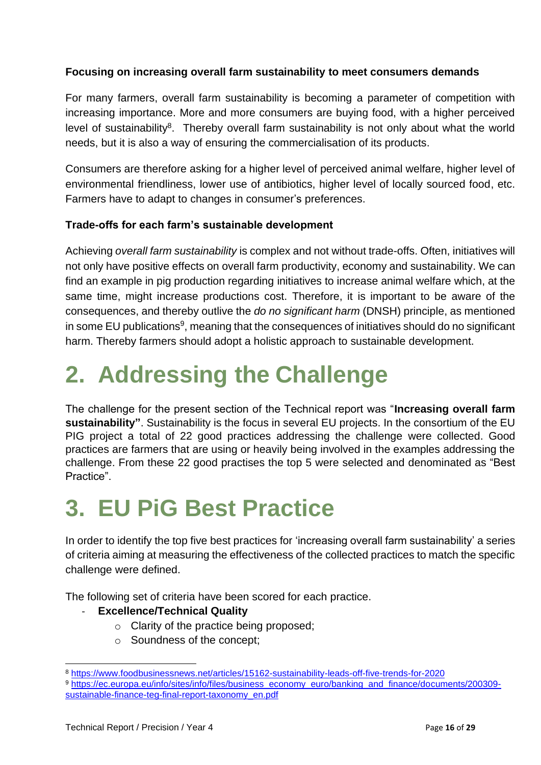### **Focusing on increasing overall farm sustainability to meet consumers demands**

For many farmers, overall farm sustainability is becoming a parameter of competition with increasing importance. More and more consumers are buying food, with a higher perceived level of sustainability<sup>8</sup>. Thereby overall farm sustainability is not only about what the world needs, but it is also a way of ensuring the commercialisation of its products.

Consumers are therefore asking for a higher level of perceived animal welfare, higher level of environmental friendliness, lower use of antibiotics, higher level of locally sourced food, etc. Farmers have to adapt to changes in consumer's preferences.

### **Trade-offs for each farm's sustainable development**

Achieving *overall farm sustainability* is complex and not without trade-offs. Often, initiatives will not only have positive effects on overall farm productivity, economy and sustainability. We can find an example in pig production regarding initiatives to increase animal welfare which, at the same time, might increase productions cost. Therefore, it is important to be aware of the consequences, and thereby outlive the *do no significant harm* (DNSH) principle, as mentioned in some EU publications<sup>9</sup>, meaning that the consequences of initiatives should do no significant harm. Thereby farmers should adopt a holistic approach to sustainable development.

## **2. Addressing the Challenge**

The challenge for the present section of the Technical report was "**Increasing overall farm sustainability"**. Sustainability is the focus in several EU projects. In the consortium of the EU PIG project a total of 22 good practices addressing the challenge were collected. Good practices are farmers that are using or heavily being involved in the examples addressing the challenge. From these 22 good practises the top 5 were selected and denominated as "Best Practice".

## **3. EU PiG Best Practice**

In order to identify the top five best practices for 'increasing overall farm sustainability' a series of criteria aiming at measuring the effectiveness of the collected practices to match the specific challenge were defined.

The following set of criteria have been scored for each practice.

### **Excellence/Technical Quality**

- o Clarity of the practice being proposed;
- o Soundness of the concept;

<sup>8</sup> <https://www.foodbusinessnews.net/articles/15162-sustainability-leads-off-five-trends-for-2020>

<sup>9</sup> [https://ec.europa.eu/info/sites/info/files/business\\_economy\\_euro/banking\\_and\\_finance/documents/200309](https://ec.europa.eu/info/sites/info/files/business_economy_euro/banking_and_finance/documents/200309-sustainable-finance-teg-final-report-taxonomy_en.pdf) [sustainable-finance-teg-final-report-taxonomy\\_en.pdf](https://ec.europa.eu/info/sites/info/files/business_economy_euro/banking_and_finance/documents/200309-sustainable-finance-teg-final-report-taxonomy_en.pdf)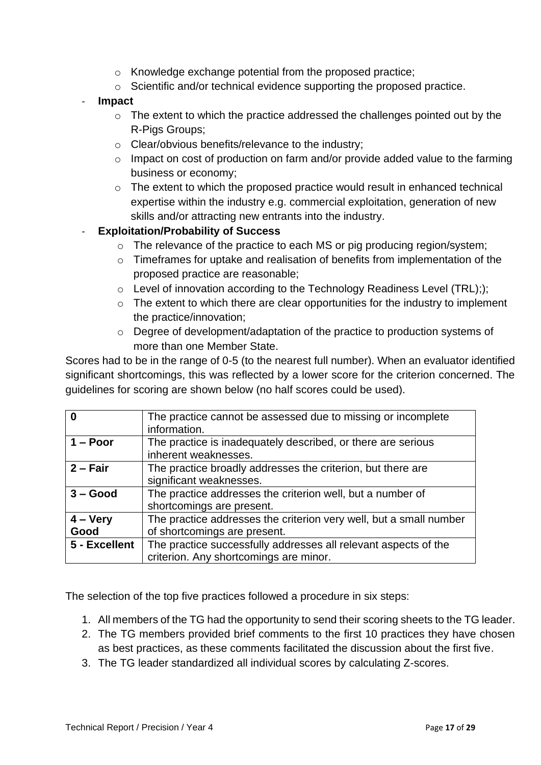- o Knowledge exchange potential from the proposed practice;
- o Scientific and/or technical evidence supporting the proposed practice.
- **Impact** 
	- o The extent to which the practice addressed the challenges pointed out by the R-Pigs Groups;
	- o Clear/obvious benefits/relevance to the industry;
	- $\circ$  Impact on cost of production on farm and/or provide added value to the farming business or economy;
	- o The extent to which the proposed practice would result in enhanced technical expertise within the industry e.g. commercial exploitation, generation of new skills and/or attracting new entrants into the industry.

#### - **Exploitation/Probability of Success**

- o The relevance of the practice to each MS or pig producing region/system;
- o Timeframes for uptake and realisation of benefits from implementation of the proposed practice are reasonable;
- o Level of innovation according to the Technology Readiness Level (TRL););
- $\circ$  The extent to which there are clear opportunities for the industry to implement the practice/innovation;
- o Degree of development/adaptation of the practice to production systems of more than one Member State.

Scores had to be in the range of 0-5 (to the nearest full number). When an evaluator identified significant shortcomings, this was reflected by a lower score for the criterion concerned. The guidelines for scoring are shown below (no half scores could be used).

| O                   | The practice cannot be assessed due to missing or incomplete<br>information.                              |
|---------------------|-----------------------------------------------------------------------------------------------------------|
| $1 -$ Poor          | The practice is inadequately described, or there are serious<br>inherent weaknesses.                      |
| $2 - Fair$          | The practice broadly addresses the criterion, but there are<br>significant weaknesses.                    |
| $3 - Good$          | The practice addresses the criterion well, but a number of<br>shortcomings are present.                   |
| $4 - V$ ery<br>Good | The practice addresses the criterion very well, but a small number<br>of shortcomings are present.        |
| 5 - Excellent       | The practice successfully addresses all relevant aspects of the<br>criterion. Any shortcomings are minor. |

The selection of the top five practices followed a procedure in six steps:

- 1. All members of the TG had the opportunity to send their scoring sheets to the TG leader.
- 2. The TG members provided brief comments to the first 10 practices they have chosen as best practices, as these comments facilitated the discussion about the first five.
- 3. The TG leader standardized all individual scores by calculating Z-scores.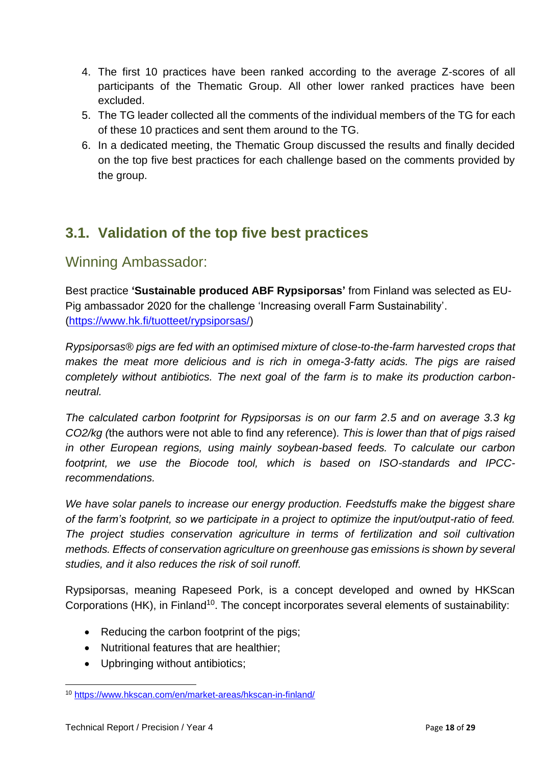- 4. The first 10 practices have been ranked according to the average Z-scores of all participants of the Thematic Group. All other lower ranked practices have been excluded.
- 5. The TG leader collected all the comments of the individual members of the TG for each of these 10 practices and sent them around to the TG.
- 6. In a dedicated meeting, the Thematic Group discussed the results and finally decided on the top five best practices for each challenge based on the comments provided by the group.

### **3.1. Validation of the top five best practices**

### Winning Ambassador:

Best practice **'Sustainable produced ABF Rypsiporsas'** from Finland was selected as EU-Pig ambassador 2020 for the challenge 'Increasing overall Farm Sustainability'. [\(https://www.hk.fi/tuotteet/rypsiporsas/\)](https://www.hk.fi/tuotteet/rypsiporsas/)

*Rypsiporsas® pigs are fed with an optimised mixture of close-to-the-farm harvested crops that makes the meat more delicious and is rich in omega-3-fatty acids. The pigs are raised completely without antibiotics. The next goal of the farm is to make its production carbonneutral.*

*The calculated carbon footprint for Rypsiporsas is on our farm 2.5 and on average 3.3 kg CO2/kg (*the authors were not able to find any reference)*. This is lower than that of pigs raised in other European regions, using mainly soybean-based feeds. To calculate our carbon footprint, we use the Biocode tool, which is based on ISO-standards and IPCCrecommendations.*

We have solar panels to increase our energy production. Feedstuffs make the biggest share *of the farm's footprint, so we participate in a project to optimize the input/output-ratio of feed. The project studies conservation agriculture in terms of fertilization and soil cultivation methods. Effects of conservation agriculture on greenhouse gas emissions is shown by several studies, and it also reduces the risk of soil runoff.*

Rypsiporsas, meaning Rapeseed Pork, is a concept developed and owned by HKScan Corporations (HK), in Finland<sup>10</sup>. The concept incorporates several elements of sustainability:

- Reducing the carbon footprint of the pigs;
- Nutritional features that are healthier;
- Upbringing without antibiotics;

<sup>10</sup> <https://www.hkscan.com/en/market-areas/hkscan-in-finland/>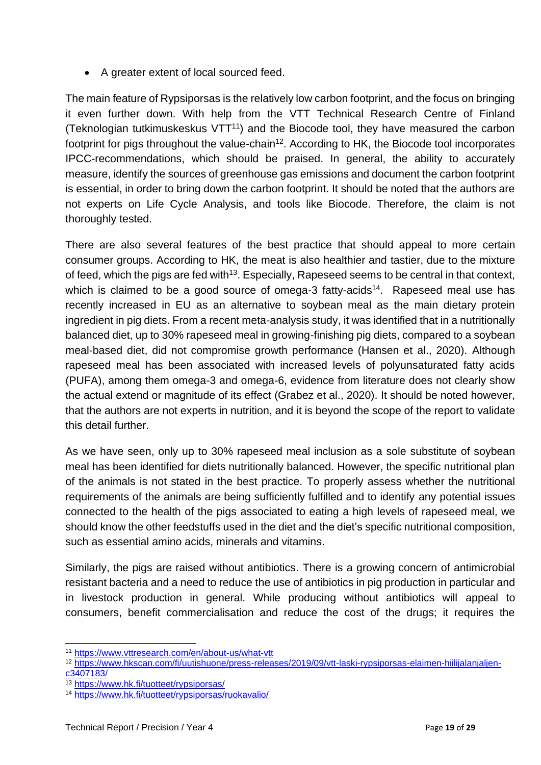• A greater extent of local sourced feed.

The main feature of Rypsiporsas is the relatively low carbon footprint, and the focus on bringing it even further down. With help from the VTT Technical Research Centre of Finland (Teknologian tutkimuskeskus  $VTT^{11}$ ) and the Biocode tool, they have measured the carbon footprint for pigs throughout the value-chain<sup>12</sup>. According to HK, the Biocode tool incorporates IPCC-recommendations, which should be praised. In general, the ability to accurately measure, identify the sources of greenhouse gas emissions and document the carbon footprint is essential, in order to bring down the carbon footprint. It should be noted that the authors are not experts on Life Cycle Analysis, and tools like Biocode. Therefore, the claim is not thoroughly tested.

There are also several features of the best practice that should appeal to more certain consumer groups. According to HK, the meat is also healthier and tastier, due to the mixture of feed, which the pigs are fed with<sup>13</sup>. Especially, Rapeseed seems to be central in that context, which is claimed to be a good source of omega-3 fatty-acids<sup>14</sup>. Rapeseed meal use has recently increased in EU as an alternative to soybean meal as the main dietary protein ingredient in pig diets. From a recent meta-analysis study, it was identified that in a nutritionally balanced diet, up to 30% rapeseed meal in growing-finishing pig diets, compared to a soybean meal-based diet, did not compromise growth performance (Hansen et al., 2020). Although rapeseed meal has been associated with increased levels of polyunsaturated fatty acids (PUFA), among them omega-3 and omega-6, evidence from literature does not clearly show the actual extend or magnitude of its effect (Grabez et al., 2020). It should be noted however, that the authors are not experts in nutrition, and it is beyond the scope of the report to validate this detail further.

As we have seen, only up to 30% rapeseed meal inclusion as a sole substitute of soybean meal has been identified for diets nutritionally balanced. However, the specific nutritional plan of the animals is not stated in the best practice. To properly assess whether the nutritional requirements of the animals are being sufficiently fulfilled and to identify any potential issues connected to the health of the pigs associated to eating a high levels of rapeseed meal, we should know the other feedstuffs used in the diet and the diet's specific nutritional composition, such as essential amino acids, minerals and vitamins.

Similarly, the pigs are raised without antibiotics. There is a growing concern of antimicrobial resistant bacteria and a need to reduce the use of antibiotics in pig production in particular and in livestock production in general. While producing without antibiotics will appeal to consumers, benefit commercialisation and reduce the cost of the drugs; it requires the

<sup>11</sup> <https://www.vttresearch.com/en/about-us/what-vtt>

<sup>12</sup> [https://www.hkscan.com/fi/uutishuone/press-releases/2019/09/vtt-laski-rypsiporsas-elaimen-hiilijalanjaljen](https://www.hkscan.com/fi/uutishuone/press-releases/2019/09/vtt-laski-rypsiporsas-elaimen-hiilijalanjaljen-c3407183/)[c3407183/](https://www.hkscan.com/fi/uutishuone/press-releases/2019/09/vtt-laski-rypsiporsas-elaimen-hiilijalanjaljen-c3407183/)

<sup>13</sup> <https://www.hk.fi/tuotteet/rypsiporsas/>

<sup>14</sup> <https://www.hk.fi/tuotteet/rypsiporsas/ruokavalio/>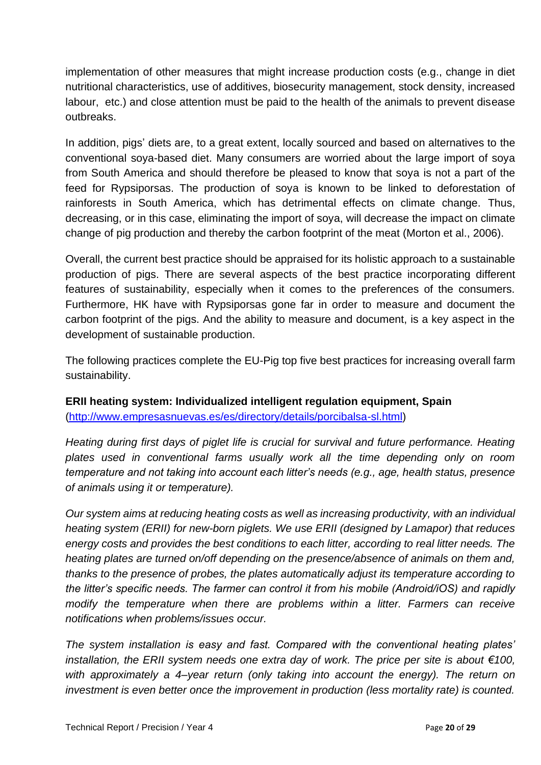implementation of other measures that might increase production costs (e.g., change in diet nutritional characteristics, use of additives, biosecurity management, stock density, increased labour, etc.) and close attention must be paid to the health of the animals to prevent disease outbreaks.

In addition, pigs' diets are, to a great extent, locally sourced and based on alternatives to the conventional soya-based diet. Many consumers are worried about the large import of soya from South America and should therefore be pleased to know that soya is not a part of the feed for Rypsiporsas. The production of soya is known to be linked to deforestation of rainforests in South America, which has detrimental effects on climate change. Thus, decreasing, or in this case, eliminating the import of soya, will decrease the impact on climate change of pig production and thereby the carbon footprint of the meat (Morton et al., 2006).

Overall, the current best practice should be appraised for its holistic approach to a sustainable production of pigs. There are several aspects of the best practice incorporating different features of sustainability, especially when it comes to the preferences of the consumers. Furthermore, HK have with Rypsiporsas gone far in order to measure and document the carbon footprint of the pigs. And the ability to measure and document, is a key aspect in the development of sustainable production.

The following practices complete the EU-Pig top five best practices for increasing overall farm sustainability.

**ERII heating system: Individualized intelligent regulation equipment, Spain**  [\(http://www.empresasnuevas.es/es/directory/details/porcibalsa-sl.html\)](http://www.empresasnuevas.es/es/directory/details/porcibalsa-sl.html)

*Heating during first days of piglet life is crucial for survival and future performance. Heating plates used in conventional farms usually work all the time depending only on room temperature and not taking into account each litter's needs (e.g., age, health status, presence of animals using it or temperature).* 

*Our system aims at reducing heating costs as well as increasing productivity, with an individual heating system (ERII) for new-born piglets. We use ERII (designed by Lamapor) that reduces energy costs and provides the best conditions to each litter, according to real litter needs. The heating plates are turned on/off depending on the presence/absence of animals on them and, thanks to the presence of probes, the plates automatically adjust its temperature according to the litter's specific needs. The farmer can control it from his mobile (Android/iOS) and rapidly modify the temperature when there are problems within a litter. Farmers can receive notifications when problems/issues occur.*

*The system installation is easy and fast. Compared with the conventional heating plates' installation, the ERII system needs one extra day of work. The price per site is about €100, with approximately a 4–year return (only taking into account the energy). The return on investment is even better once the improvement in production (less mortality rate) is counted.*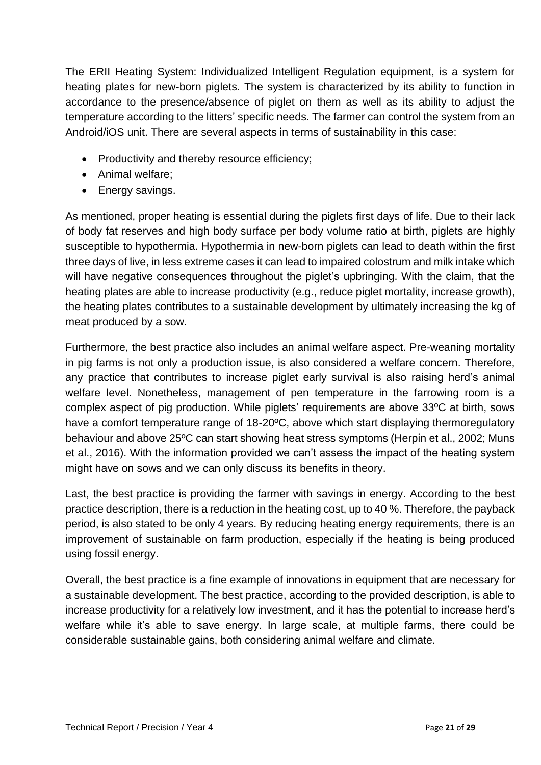The ERII Heating System: Individualized Intelligent Regulation equipment, is a system for heating plates for new-born piglets. The system is characterized by its ability to function in accordance to the presence/absence of piglet on them as well as its ability to adjust the temperature according to the litters' specific needs. The farmer can control the system from an Android/iOS unit. There are several aspects in terms of sustainability in this case:

- Productivity and thereby resource efficiency;
- Animal welfare;
- Energy savings.

As mentioned, proper heating is essential during the piglets first days of life. Due to their lack of body fat reserves and high body surface per body volume ratio at birth, piglets are highly susceptible to hypothermia. Hypothermia in new-born piglets can lead to death within the first three days of live, in less extreme cases it can lead to impaired colostrum and milk intake which will have negative consequences throughout the piglet's upbringing. With the claim, that the heating plates are able to increase productivity (e.g., reduce piglet mortality, increase growth), the heating plates contributes to a sustainable development by ultimately increasing the kg of meat produced by a sow.

Furthermore, the best practice also includes an animal welfare aspect. Pre-weaning mortality in pig farms is not only a production issue, is also considered a welfare concern. Therefore, any practice that contributes to increase piglet early survival is also raising herd's animal welfare level. Nonetheless, management of pen temperature in the farrowing room is a complex aspect of pig production. While piglets' requirements are above 33ºC at birth, sows have a comfort temperature range of 18-20ºC, above which start displaying thermoregulatory behaviour and above 25ºC can start showing heat stress symptoms (Herpin et al., 2002; Muns et al., 2016). With the information provided we can't assess the impact of the heating system might have on sows and we can only discuss its benefits in theory.

Last, the best practice is providing the farmer with savings in energy. According to the best practice description, there is a reduction in the heating cost, up to 40 %. Therefore, the payback period, is also stated to be only 4 years. By reducing heating energy requirements, there is an improvement of sustainable on farm production, especially if the heating is being produced using fossil energy.

Overall, the best practice is a fine example of innovations in equipment that are necessary for a sustainable development. The best practice, according to the provided description, is able to increase productivity for a relatively low investment, and it has the potential to increase herd's welfare while it's able to save energy. In large scale, at multiple farms, there could be considerable sustainable gains, both considering animal welfare and climate.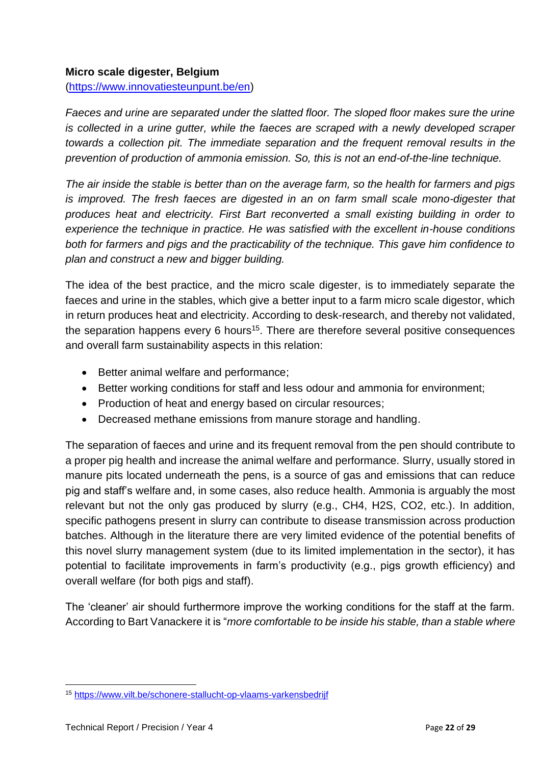#### **Micro scale digester, Belgium**

[\(https://www.innovatiesteunpunt.be/en\)](https://www.innovatiesteunpunt.be/en)

*Faeces and urine are separated under the slatted floor. The sloped floor makes sure the urine is collected in a urine gutter, while the faeces are scraped with a newly developed scraper towards a collection pit. The immediate separation and the frequent removal results in the prevention of production of ammonia emission. So, this is not an end-of-the-line technique.* 

*The air inside the stable is better than on the average farm, so the health for farmers and pigs is improved. The fresh faeces are digested in an on farm small scale mono-digester that produces heat and electricity. First Bart reconverted a small existing building in order to experience the technique in practice. He was satisfied with the excellent in-house conditions both for farmers and pigs and the practicability of the technique. This gave him confidence to plan and construct a new and bigger building.*

The idea of the best practice, and the micro scale digester, is to immediately separate the faeces and urine in the stables, which give a better input to a farm micro scale digestor, which in return produces heat and electricity. According to desk-research, and thereby not validated, the separation happens every 6 hours<sup>15</sup>. There are therefore several positive consequences and overall farm sustainability aspects in this relation:

- Better animal welfare and performance;
- Better working conditions for staff and less odour and ammonia for environment;
- Production of heat and energy based on circular resources;
- Decreased methane emissions from manure storage and handling.

The separation of faeces and urine and its frequent removal from the pen should contribute to a proper pig health and increase the animal welfare and performance. Slurry, usually stored in manure pits located underneath the pens, is a source of gas and emissions that can reduce pig and staff's welfare and, in some cases, also reduce health. Ammonia is arguably the most relevant but not the only gas produced by slurry (e.g., CH4, H2S, CO2, etc.). In addition, specific pathogens present in slurry can contribute to disease transmission across production batches. Although in the literature there are very limited evidence of the potential benefits of this novel slurry management system (due to its limited implementation in the sector), it has potential to facilitate improvements in farm's productivity (e.g., pigs growth efficiency) and overall welfare (for both pigs and staff).

The 'cleaner' air should furthermore improve the working conditions for the staff at the farm. According to Bart Vanackere it is "*more comfortable to be inside his stable, than a stable where* 

<sup>15</sup> <https://www.vilt.be/schonere-stallucht-op-vlaams-varkensbedrijf>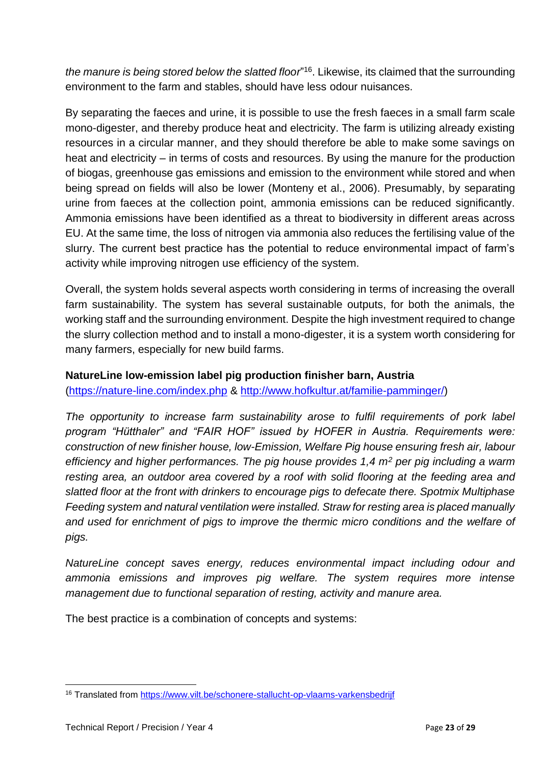*the manure is being stored below the slatted floor*" <sup>16</sup>. Likewise, its claimed that the surrounding environment to the farm and stables, should have less odour nuisances.

By separating the faeces and urine, it is possible to use the fresh faeces in a small farm scale mono-digester, and thereby produce heat and electricity. The farm is utilizing already existing resources in a circular manner, and they should therefore be able to make some savings on heat and electricity – in terms of costs and resources. By using the manure for the production of biogas, greenhouse gas emissions and emission to the environment while stored and when being spread on fields will also be lower (Monteny et al., 2006). Presumably, by separating urine from faeces at the collection point, ammonia emissions can be reduced significantly. Ammonia emissions have been identified as a threat to biodiversity in different areas across EU. At the same time, the loss of nitrogen via ammonia also reduces the fertilising value of the slurry. The current best practice has the potential to reduce environmental impact of farm's activity while improving nitrogen use efficiency of the system.

Overall, the system holds several aspects worth considering in terms of increasing the overall farm sustainability. The system has several sustainable outputs, for both the animals, the working staff and the surrounding environment. Despite the high investment required to change the slurry collection method and to install a mono-digester, it is a system worth considering for many farmers, especially for new build farms.

#### **NatureLine low-emission label pig production finisher barn, Austria**

[\(https://nature-line.com/index.php](https://nature-line.com/index.php) & [http://www.hofkultur.at/familie-pamminger/\)](http://www.hofkultur.at/familie-pamminger/)

*The opportunity to increase farm sustainability arose to fulfil requirements of pork label program "Hütthaler" and "FAIR HOF" issued by HOFER in Austria. Requirements were: construction of new finisher house, low-Emission, Welfare Pig house ensuring fresh air, labour efficiency and higher performances. The pig house provides 1,4 m<sup>2</sup> per pig including a warm resting area, an outdoor area covered by a roof with solid flooring at the feeding area and slatted floor at the front with drinkers to encourage pigs to defecate there. Spotmix Multiphase Feeding system and natural ventilation were installed. Straw for resting area is placed manually and used for enrichment of pigs to improve the thermic micro conditions and the welfare of pigs.* 

*NatureLine concept saves energy, reduces environmental impact including odour and ammonia emissions and improves pig welfare. The system requires more intense management due to functional separation of resting, activity and manure area.* 

The best practice is a combination of concepts and systems:

<sup>16</sup> Translated from<https://www.vilt.be/schonere-stallucht-op-vlaams-varkensbedrijf>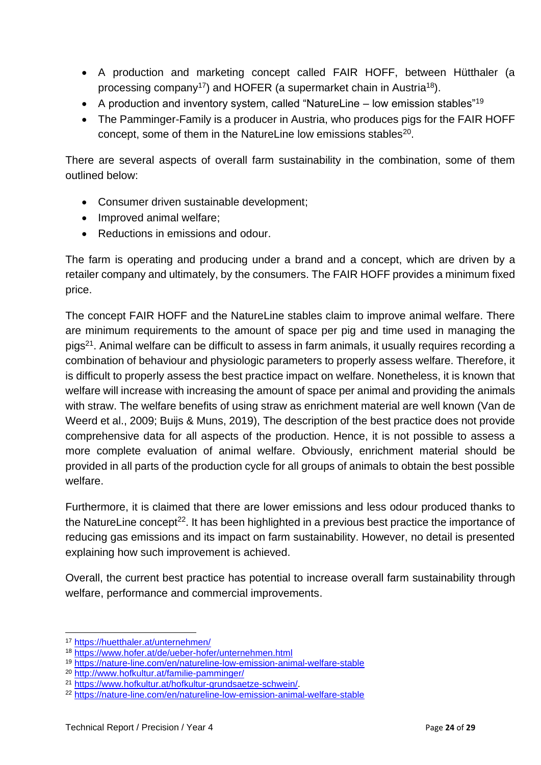- A production and marketing concept called FAIR HOFF, between Hütthaler (a processing company<sup>17</sup>) and HOFER (a supermarket chain in Austria<sup>18</sup>).
- A production and inventory system, called "NatureLine low emission stables"<sup>19</sup>
- The Pamminger-Family is a producer in Austria, who produces pigs for the FAIR HOFF concept, some of them in the NatureLine low emissions stables<sup>20</sup>.

There are several aspects of overall farm sustainability in the combination, some of them outlined below:

- Consumer driven sustainable development;
- Improved animal welfare;
- Reductions in emissions and odour.

The farm is operating and producing under a brand and a concept, which are driven by a retailer company and ultimately, by the consumers. The FAIR HOFF provides a minimum fixed price.

The concept FAIR HOFF and the NatureLine stables claim to improve animal welfare. There are minimum requirements to the amount of space per pig and time used in managing the pigs<sup>21</sup>. Animal welfare can be difficult to assess in farm animals, it usually requires recording a combination of behaviour and physiologic parameters to properly assess welfare. Therefore, it is difficult to properly assess the best practice impact on welfare. Nonetheless, it is known that welfare will increase with increasing the amount of space per animal and providing the animals with straw. The welfare benefits of using straw as enrichment material are well known (Van de Weerd et al., 2009; Buijs & Muns, 2019), The description of the best practice does not provide comprehensive data for all aspects of the production. Hence, it is not possible to assess a more complete evaluation of animal welfare. Obviously, enrichment material should be provided in all parts of the production cycle for all groups of animals to obtain the best possible welfare.

Furthermore, it is claimed that there are lower emissions and less odour produced thanks to the NatureLine concept<sup>22</sup>. It has been highlighted in a previous best practice the importance of reducing gas emissions and its impact on farm sustainability. However, no detail is presented explaining how such improvement is achieved.

Overall, the current best practice has potential to increase overall farm sustainability through welfare, performance and commercial improvements.

<sup>19</sup> <https://nature-line.com/en/natureline-low-emission-animal-welfare-stable>

<sup>17</sup> <https://huetthaler.at/unternehmen/>

<sup>18</sup> <https://www.hofer.at/de/ueber-hofer/unternehmen.html>

<sup>20</sup> <http://www.hofkultur.at/familie-pamminger/>

<sup>21</sup> [https://www.hofkultur.at/hofkultur-grundsaetze-schwein/.](https://www.hofkultur.at/hofkultur-grundsaetze-schwein/)

<sup>22</sup> <https://nature-line.com/en/natureline-low-emission-animal-welfare-stable>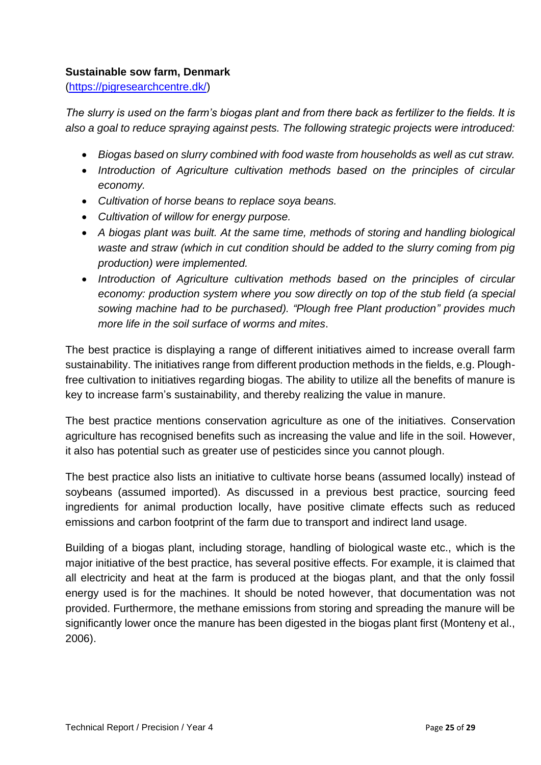### **Sustainable sow farm, Denmark**

[\(https://pigresearchcentre.dk/\)](https://pigresearchcentre.dk/)

*The slurry is used on the farm's biogas plant and from there back as fertilizer to the fields. It is also a goal to reduce spraying against pests. The following strategic projects were introduced:*

- *Biogas based on slurry combined with food waste from households as well as cut straw.*
- *Introduction of Agriculture cultivation methods based on the principles of circular economy.*
- *Cultivation of horse beans to replace soya beans.*
- *Cultivation of willow for energy purpose.*
- *A biogas plant was built. At the same time, methods of storing and handling biological*  waste and straw (which in cut condition should be added to the slurry coming from pig *production) were implemented.*
- *Introduction of Agriculture cultivation methods based on the principles of circular economy: production system where you sow directly on top of the stub field (a special sowing machine had to be purchased). "Plough free Plant production" provides much more life in the soil surface of worms and mites*.

The best practice is displaying a range of different initiatives aimed to increase overall farm sustainability. The initiatives range from different production methods in the fields, e.g. Ploughfree cultivation to initiatives regarding biogas. The ability to utilize all the benefits of manure is key to increase farm's sustainability, and thereby realizing the value in manure.

The best practice mentions conservation agriculture as one of the initiatives. Conservation agriculture has recognised benefits such as increasing the value and life in the soil. However, it also has potential such as greater use of pesticides since you cannot plough.

The best practice also lists an initiative to cultivate horse beans (assumed locally) instead of soybeans (assumed imported). As discussed in a previous best practice, sourcing feed ingredients for animal production locally, have positive climate effects such as reduced emissions and carbon footprint of the farm due to transport and indirect land usage.

Building of a biogas plant, including storage, handling of biological waste etc., which is the major initiative of the best practice, has several positive effects. For example, it is claimed that all electricity and heat at the farm is produced at the biogas plant, and that the only fossil energy used is for the machines. It should be noted however, that documentation was not provided. Furthermore, the methane emissions from storing and spreading the manure will be significantly lower once the manure has been digested in the biogas plant first (Monteny et al., 2006).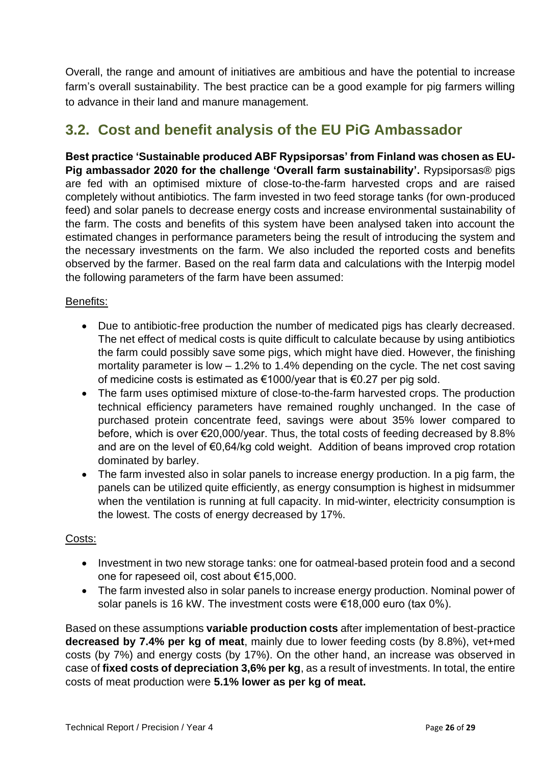Overall, the range and amount of initiatives are ambitious and have the potential to increase farm's overall sustainability. The best practice can be a good example for pig farmers willing to advance in their land and manure management.

### **3.2. Cost and benefit analysis of the EU PiG Ambassador**

**Best practice 'Sustainable produced ABF Rypsiporsas' from Finland was chosen as EU-Pig ambassador 2020 for the challenge 'Overall farm sustainability'.** Rypsiporsas® pigs are fed with an optimised mixture of close-to-the-farm harvested crops and are raised completely without antibiotics. The farm invested in two feed storage tanks (for own-produced feed) and solar panels to decrease energy costs and increase environmental sustainability of the farm. The costs and benefits of this system have been analysed taken into account the estimated changes in performance parameters being the result of introducing the system and the necessary investments on the farm. We also included the reported costs and benefits observed by the farmer. Based on the real farm data and calculations with the Interpig model the following parameters of the farm have been assumed:

### Benefits:

- Due to antibiotic-free production the number of medicated pigs has clearly decreased. The net effect of medical costs is quite difficult to calculate because by using antibiotics the farm could possibly save some pigs, which might have died. However, the finishing mortality parameter is low – 1.2% to 1.4% depending on the cycle. The net cost saving of medicine costs is estimated as €1000/year that is €0.27 per pig sold.
- The farm uses optimised mixture of close-to-the-farm harvested crops. The production technical efficiency parameters have remained roughly unchanged. In the case of purchased protein concentrate feed, savings were about 35% lower compared to before, which is over €20,000/year. Thus, the total costs of feeding decreased by 8.8% and are on the level of €0,64/kg cold weight. Addition of beans improved crop rotation dominated by barley.
- The farm invested also in solar panels to increase energy production. In a pig farm, the panels can be utilized quite efficiently, as energy consumption is highest in midsummer when the ventilation is running at full capacity. In mid-winter, electricity consumption is the lowest. The costs of energy decreased by 17%.

#### Costs:

- Investment in two new storage tanks: one for oatmeal-based protein food and a second one for rapeseed oil, cost about €15,000.
- The farm invested also in solar panels to increase energy production. Nominal power of solar panels is 16 kW. The investment costs were €18,000 euro (tax 0%).

Based on these assumptions **variable production costs** after implementation of best-practice **decreased by 7.4% per kg of meat**, mainly due to lower feeding costs (by 8.8%), vet+med costs (by 7%) and energy costs (by 17%). On the other hand, an increase was observed in case of **fixed costs of depreciation 3,6% per kg**, as a result of investments. In total, the entire costs of meat production were **5.1% lower as per kg of meat.**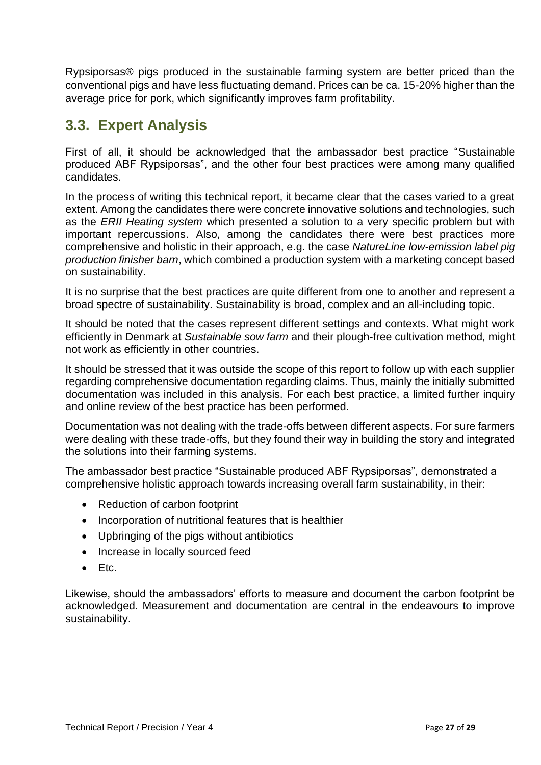Rypsiporsas® pigs produced in the sustainable farming system are better priced than the conventional pigs and have less fluctuating demand. Prices can be ca. 15-20% higher than the average price for pork, which significantly improves farm profitability.

### **3.3. Expert Analysis**

First of all, it should be acknowledged that the ambassador best practice "Sustainable produced ABF Rypsiporsas", and the other four best practices were among many qualified candidates.

In the process of writing this technical report, it became clear that the cases varied to a great extent. Among the candidates there were concrete innovative solutions and technologies, such as the *ERII Heating system* which presented a solution to a very specific problem but with important repercussions. Also, among the candidates there were best practices more comprehensive and holistic in their approach, e.g. the case *NatureLine low-emission label pig production finisher barn*, which combined a production system with a marketing concept based on sustainability.

It is no surprise that the best practices are quite different from one to another and represent a broad spectre of sustainability. Sustainability is broad, complex and an all-including topic.

It should be noted that the cases represent different settings and contexts. What might work efficiently in Denmark at *Sustainable sow farm* and their plough-free cultivation method*,* might not work as efficiently in other countries.

It should be stressed that it was outside the scope of this report to follow up with each supplier regarding comprehensive documentation regarding claims. Thus, mainly the initially submitted documentation was included in this analysis. For each best practice, a limited further inquiry and online review of the best practice has been performed.

Documentation was not dealing with the trade-offs between different aspects. For sure farmers were dealing with these trade-offs, but they found their way in building the story and integrated the solutions into their farming systems.

The ambassador best practice "Sustainable produced ABF Rypsiporsas", demonstrated a comprehensive holistic approach towards increasing overall farm sustainability, in their:

- Reduction of carbon footprint
- Incorporation of nutritional features that is healthier
- Upbringing of the pigs without antibiotics
- Increase in locally sourced feed
- Etc.

Likewise, should the ambassadors' efforts to measure and document the carbon footprint be acknowledged. Measurement and documentation are central in the endeavours to improve sustainability.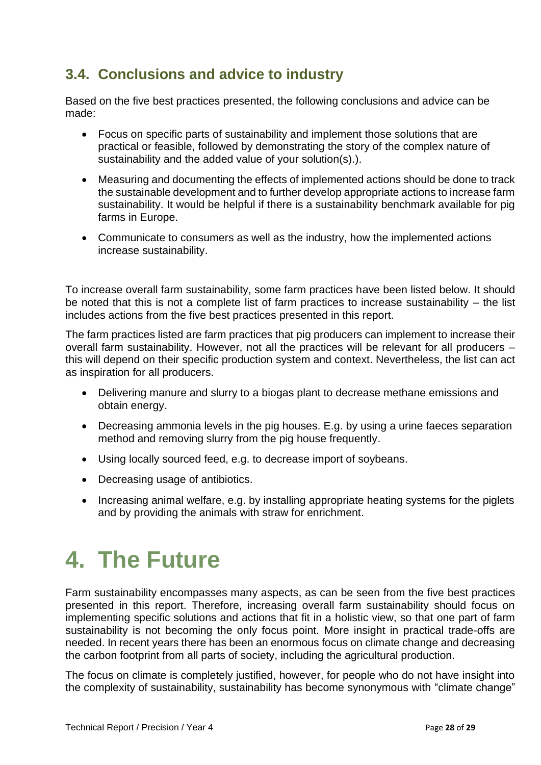### **3.4. Conclusions and advice to industry**

Based on the five best practices presented, the following conclusions and advice can be made:

- Focus on specific parts of sustainability and implement those solutions that are practical or feasible, followed by demonstrating the story of the complex nature of sustainability and the added value of your solution(s).).
- Measuring and documenting the effects of implemented actions should be done to track the sustainable development and to further develop appropriate actions to increase farm sustainability. It would be helpful if there is a sustainability benchmark available for pig farms in Europe.
- Communicate to consumers as well as the industry, how the implemented actions increase sustainability.

To increase overall farm sustainability, some farm practices have been listed below. It should be noted that this is not a complete list of farm practices to increase sustainability – the list includes actions from the five best practices presented in this report.

The farm practices listed are farm practices that pig producers can implement to increase their overall farm sustainability. However, not all the practices will be relevant for all producers – this will depend on their specific production system and context. Nevertheless, the list can act as inspiration for all producers.

- Delivering manure and slurry to a biogas plant to decrease methane emissions and obtain energy.
- Decreasing ammonia levels in the pig houses. E.g. by using a urine faeces separation method and removing slurry from the pig house frequently.
- Using locally sourced feed, e.g. to decrease import of soybeans.
- Decreasing usage of antibiotics.
- Increasing animal welfare, e.g. by installing appropriate heating systems for the piglets and by providing the animals with straw for enrichment.

## **4. The Future**

Farm sustainability encompasses many aspects, as can be seen from the five best practices presented in this report. Therefore, increasing overall farm sustainability should focus on implementing specific solutions and actions that fit in a holistic view, so that one part of farm sustainability is not becoming the only focus point. More insight in practical trade-offs are needed. In recent years there has been an enormous focus on climate change and decreasing the carbon footprint from all parts of society, including the agricultural production.

The focus on climate is completely justified, however, for people who do not have insight into the complexity of sustainability, sustainability has become synonymous with "climate change"